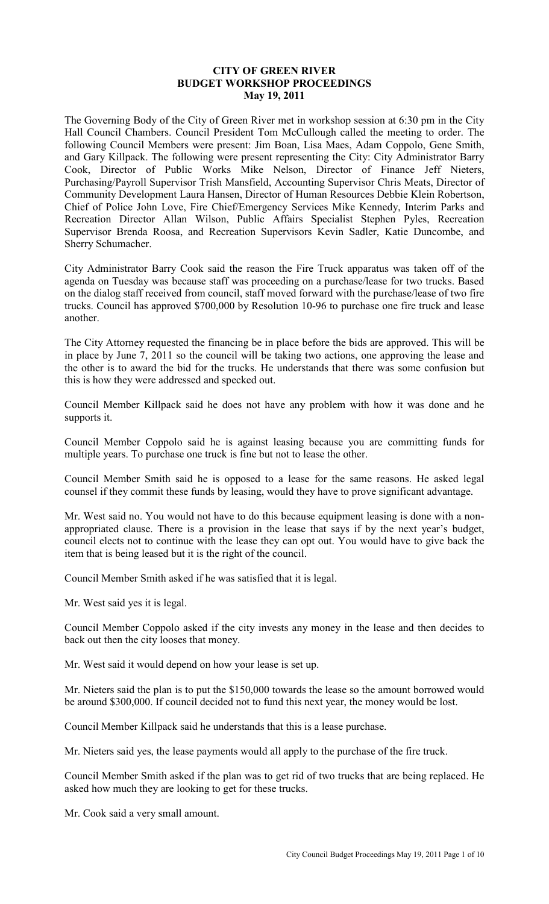## **CITY OF GREEN RIVER BUDGET WORKSHOP PROCEEDINGS May 19, 2011**

The Governing Body of the City of Green River met in workshop session at 6:30 pm in the City Hall Council Chambers. Council President Tom McCullough called the meeting to order. The following Council Members were present: Jim Boan, Lisa Maes, Adam Coppolo, Gene Smith, and Gary Killpack. The following were present representing the City: City Administrator Barry Cook, Director of Public Works Mike Nelson, Director of Finance Jeff Nieters, Purchasing/Payroll Supervisor Trish Mansfield, Accounting Supervisor Chris Meats, Director of Community Development Laura Hansen, Director of Human Resources Debbie Klein Robertson, Chief of Police John Love, Fire Chief/Emergency Services Mike Kennedy, Interim Parks and Recreation Director Allan Wilson, Public Affairs Specialist Stephen Pyles, Recreation Supervisor Brenda Roosa, and Recreation Supervisors Kevin Sadler, Katie Duncombe, and Sherry Schumacher.

City Administrator Barry Cook said the reason the Fire Truck apparatus was taken off of the agenda on Tuesday was because staff was proceeding on a purchase/lease for two trucks. Based on the dialog staff received from council, staff moved forward with the purchase/lease of two fire trucks. Council has approved \$700,000 by Resolution 10-96 to purchase one fire truck and lease another.

The City Attorney requested the financing be in place before the bids are approved. This will be in place by June 7, 2011 so the council will be taking two actions, one approving the lease and the other is to award the bid for the trucks. He understands that there was some confusion but this is how they were addressed and specked out.

Council Member Killpack said he does not have any problem with how it was done and he supports it.

Council Member Coppolo said he is against leasing because you are committing funds for multiple years. To purchase one truck is fine but not to lease the other.

Council Member Smith said he is opposed to a lease for the same reasons. He asked legal counsel if they commit these funds by leasing, would they have to prove significant advantage.

Mr. West said no. You would not have to do this because equipment leasing is done with a nonappropriated clause. There is a provision in the lease that says if by the next year's budget, council elects not to continue with the lease they can opt out. You would have to give back the item that is being leased but it is the right of the council.

Council Member Smith asked if he was satisfied that it is legal.

Mr. West said yes it is legal.

Council Member Coppolo asked if the city invests any money in the lease and then decides to back out then the city looses that money.

Mr. West said it would depend on how your lease is set up.

Mr. Nieters said the plan is to put the \$150,000 towards the lease so the amount borrowed would be around \$300,000. If council decided not to fund this next year, the money would be lost.

Council Member Killpack said he understands that this is a lease purchase.

Mr. Nieters said yes, the lease payments would all apply to the purchase of the fire truck.

Council Member Smith asked if the plan was to get rid of two trucks that are being replaced. He asked how much they are looking to get for these trucks.

Mr. Cook said a very small amount.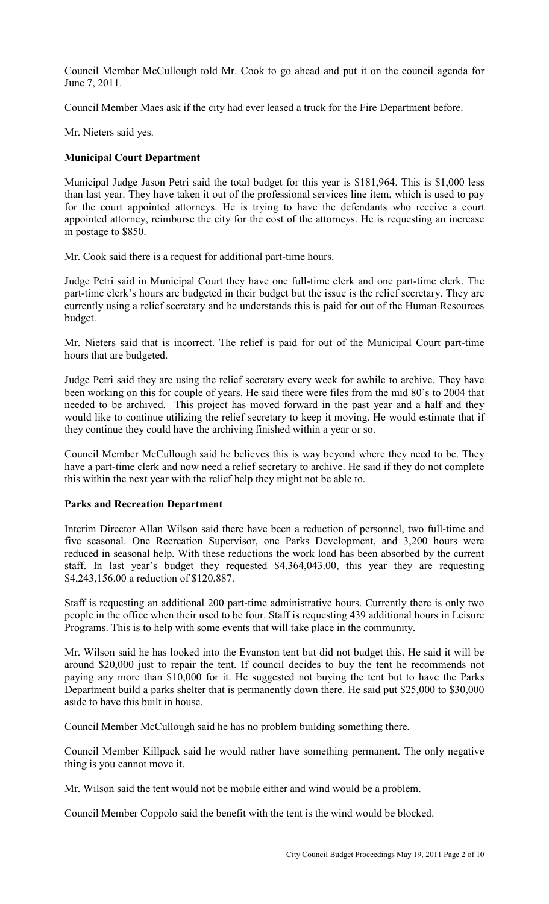Council Member McCullough told Mr. Cook to go ahead and put it on the council agenda for June 7, 2011.

Council Member Maes ask if the city had ever leased a truck for the Fire Department before.

Mr. Nieters said yes.

# **Municipal Court Department**

Municipal Judge Jason Petri said the total budget for this year is \$181,964. This is \$1,000 less than last year. They have taken it out of the professional services line item, which is used to pay for the court appointed attorneys. He is trying to have the defendants who receive a court appointed attorney, reimburse the city for the cost of the attorneys. He is requesting an increase in postage to \$850.

Mr. Cook said there is a request for additional part-time hours.

Judge Petri said in Municipal Court they have one full-time clerk and one part-time clerk. The part-time clerk's hours are budgeted in their budget but the issue is the relief secretary. They are currently using a relief secretary and he understands this is paid for out of the Human Resources budget.

Mr. Nieters said that is incorrect. The relief is paid for out of the Municipal Court part-time hours that are budgeted.

Judge Petri said they are using the relief secretary every week for awhile to archive. They have been working on this for couple of years. He said there were files from the mid 80's to 2004 that needed to be archived. This project has moved forward in the past year and a half and they would like to continue utilizing the relief secretary to keep it moving. He would estimate that if they continue they could have the archiving finished within a year or so.

Council Member McCullough said he believes this is way beyond where they need to be. They have a part-time clerk and now need a relief secretary to archive. He said if they do not complete this within the next year with the relief help they might not be able to.

## **Parks and Recreation Department**

Interim Director Allan Wilson said there have been a reduction of personnel, two full-time and five seasonal. One Recreation Supervisor, one Parks Development, and 3,200 hours were reduced in seasonal help. With these reductions the work load has been absorbed by the current staff. In last year's budget they requested \$4,364,043.00, this year they are requesting \$4,243,156.00 a reduction of \$120,887.

Staff is requesting an additional 200 part-time administrative hours. Currently there is only two people in the office when their used to be four. Staff is requesting 439 additional hours in Leisure Programs. This is to help with some events that will take place in the community.

Mr. Wilson said he has looked into the Evanston tent but did not budget this. He said it will be around \$20,000 just to repair the tent. If council decides to buy the tent he recommends not paying any more than \$10,000 for it. He suggested not buying the tent but to have the Parks Department build a parks shelter that is permanently down there. He said put \$25,000 to \$30,000 aside to have this built in house.

Council Member McCullough said he has no problem building something there.

Council Member Killpack said he would rather have something permanent. The only negative thing is you cannot move it.

Mr. Wilson said the tent would not be mobile either and wind would be a problem.

Council Member Coppolo said the benefit with the tent is the wind would be blocked.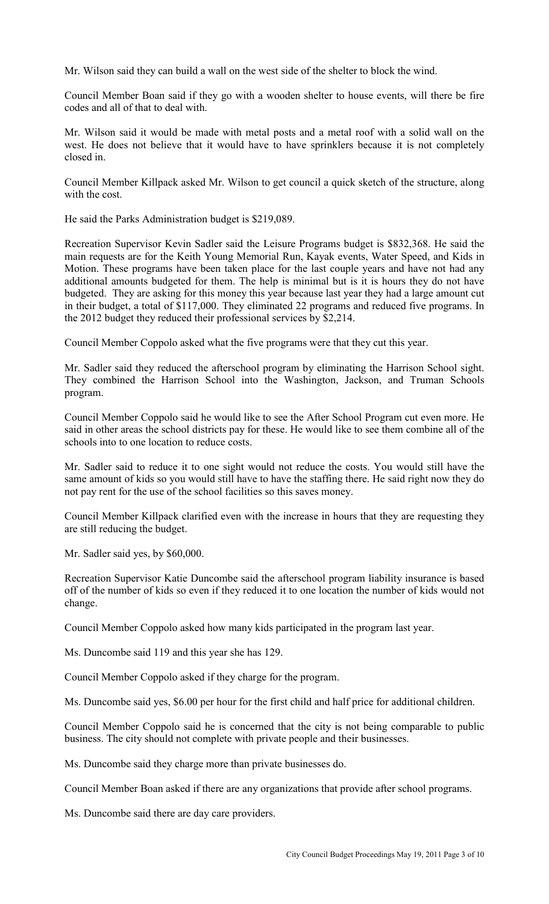Mr. Wilson said they can build a wall on the west side of the shelter to block the wind.

Council Member Boan said if they go with a wooden shelter to house events, will there be fire codes and all of that to deal with.

Mr. Wilson said it would be made with metal posts and a metal roof with a solid wall on the west. He does not believe that it would have to have sprinklers because it is not completely closed in.

Council Member Killpack asked Mr. Wilson to get council a quick sketch of the structure, along with the cost.

He said the Parks Administration budget is \$219,089.

Recreation Supervisor Kevin Sadler said the Leisure Programs budget is \$832,368. He said the main requests are for the Keith Young Memorial Run, Kayak events, Water Speed, and Kids in Motion. These programs have been taken place for the last couple years and have not had any additional amounts budgeted for them. The help is minimal but is it is hours they do not have budgeted. They are asking for this money this year because last year they had a large amount cut in their budget, a total of \$117,000. They eliminated 22 programs and reduced five programs. In the 2012 budget they reduced their professional services by \$2,214.

Council Member Coppolo asked what the five programs were that they cut this year.

Mr. Sadler said they reduced the afterschool program by eliminating the Harrison School sight. They combined the Harrison School into the Washington, Jackson, and Truman Schools program.

Council Member Coppolo said he would like to see the After School Program cut even more. He said in other areas the school districts pay for these. He would like to see them combine all of the schools into to one location to reduce costs.

Mr. Sadler said to reduce it to one sight would not reduce the costs. You would still have the same amount of kids so you would still have to have the staffing there. He said right now they do not pay rent for the use of the school facilities so this saves money.

Council Member Killpack clarified even with the increase in hours that they are requesting they are still reducing the budget.

Mr. Sadler said yes, by \$60,000.

Recreation Supervisor Katie Duncombe said the afterschool program liability insurance is based off of the number of kids so even if they reduced it to one location the number of kids would not change.

Council Member Coppolo asked how many kids participated in the program last year.

Ms. Duncombe said 119 and this year she has 129.

Council Member Coppolo asked if they charge for the program.

Ms. Duncombe said yes, \$6.00 per hour for the first child and half price for additional children.

Council Member Coppolo said he is concerned that the city is not being comparable to public business. The city should not complete with private people and their businesses.

Ms. Duncombe said they charge more than private businesses do.

Council Member Boan asked if there are any organizations that provide after school programs.

Ms. Duncombe said there are day care providers.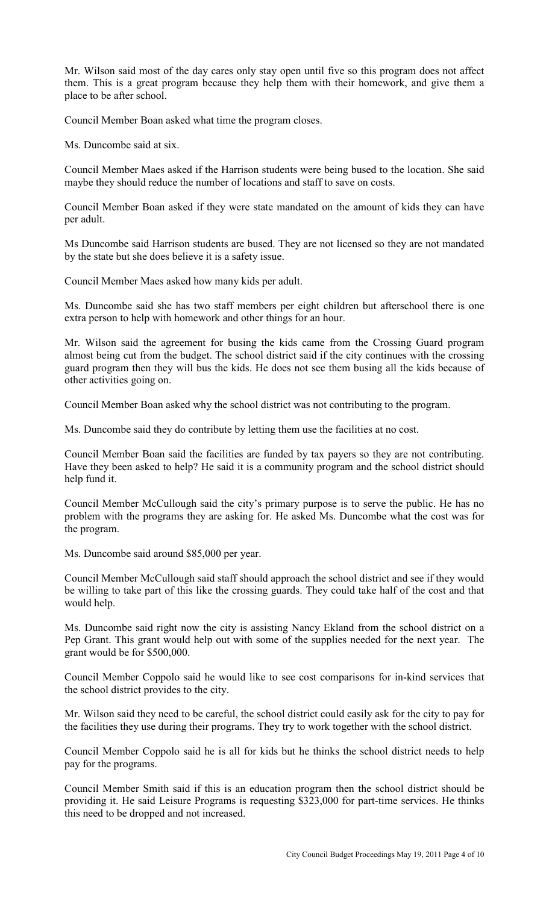Mr. Wilson said most of the day cares only stay open until five so this program does not affect them. This is a great program because they help them with their homework, and give them a place to be after school.

Council Member Boan asked what time the program closes.

Ms. Duncombe said at six.

Council Member Maes asked if the Harrison students were being bused to the location. She said maybe they should reduce the number of locations and staff to save on costs.

Council Member Boan asked if they were state mandated on the amount of kids they can have per adult.

Ms Duncombe said Harrison students are bused. They are not licensed so they are not mandated by the state but she does believe it is a safety issue.

Council Member Maes asked how many kids per adult.

Ms. Duncombe said she has two staff members per eight children but afterschool there is one extra person to help with homework and other things for an hour.

Mr. Wilson said the agreement for busing the kids came from the Crossing Guard program almost being cut from the budget. The school district said if the city continues with the crossing guard program then they will bus the kids. He does not see them busing all the kids because of other activities going on.

Council Member Boan asked why the school district was not contributing to the program.

Ms. Duncombe said they do contribute by letting them use the facilities at no cost.

Council Member Boan said the facilities are funded by tax payers so they are not contributing. Have they been asked to help? He said it is a community program and the school district should help fund it.

Council Member McCullough said the city's primary purpose is to serve the public. He has no problem with the programs they are asking for. He asked Ms. Duncombe what the cost was for the program.

Ms. Duncombe said around \$85,000 per year.

Council Member McCullough said staff should approach the school district and see if they would be willing to take part of this like the crossing guards. They could take half of the cost and that would help.

Ms. Duncombe said right now the city is assisting Nancy Ekland from the school district on a Pep Grant. This grant would help out with some of the supplies needed for the next year. The grant would be for \$500,000.

Council Member Coppolo said he would like to see cost comparisons for in-kind services that the school district provides to the city.

Mr. Wilson said they need to be careful, the school district could easily ask for the city to pay for the facilities they use during their programs. They try to work together with the school district.

Council Member Coppolo said he is all for kids but he thinks the school district needs to help pay for the programs.

Council Member Smith said if this is an education program then the school district should be providing it. He said Leisure Programs is requesting \$323,000 for part-time services. He thinks this need to be dropped and not increased.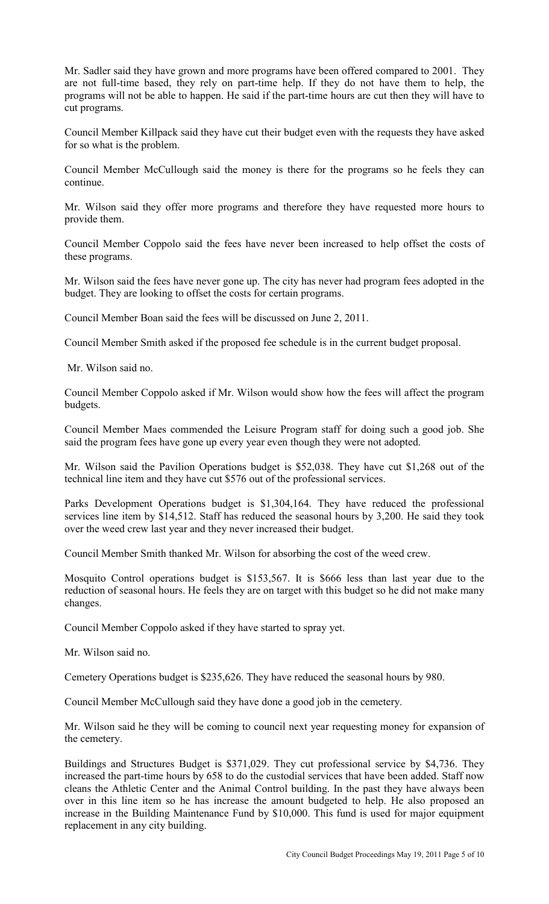Mr. Sadler said they have grown and more programs have been offered compared to 2001. They are not full-time based, they rely on part-time help. If they do not have them to help, the programs will not be able to happen. He said if the part-time hours are cut then they will have to cut programs.

Council Member Killpack said they have cut their budget even with the requests they have asked for so what is the problem.

Council Member McCullough said the money is there for the programs so he feels they can continue.

Mr. Wilson said they offer more programs and therefore they have requested more hours to provide them.

Council Member Coppolo said the fees have never been increased to help offset the costs of these programs.

Mr. Wilson said the fees have never gone up. The city has never had program fees adopted in the budget. They are looking to offset the costs for certain programs.

Council Member Boan said the fees will be discussed on June 2, 2011.

Council Member Smith asked if the proposed fee schedule is in the current budget proposal.

Mr. Wilson said no.

Council Member Coppolo asked if Mr. Wilson would show how the fees will affect the program budgets.

Council Member Maes commended the Leisure Program staff for doing such a good job. She said the program fees have gone up every year even though they were not adopted.

Mr. Wilson said the Pavilion Operations budget is \$52,038. They have cut \$1,268 out of the technical line item and they have cut \$576 out of the professional services.

Parks Development Operations budget is \$1,304,164. They have reduced the professional services line item by \$14,512. Staff has reduced the seasonal hours by 3,200. He said they took over the weed crew last year and they never increased their budget.

Council Member Smith thanked Mr. Wilson for absorbing the cost of the weed crew.

Mosquito Control operations budget is \$153,567. It is \$666 less than last year due to the reduction of seasonal hours. He feels they are on target with this budget so he did not make many changes.

Council Member Coppolo asked if they have started to spray yet.

Mr. Wilson said no.

Cemetery Operations budget is \$235,626. They have reduced the seasonal hours by 980.

Council Member McCullough said they have done a good job in the cemetery.

Mr. Wilson said he they will be coming to council next year requesting money for expansion of the cemetery.

Buildings and Structures Budget is \$371,029. They cut professional service by \$4,736. They increased the part-time hours by 658 to do the custodial services that have been added. Staff now cleans the Athletic Center and the Animal Control building. In the past they have always been over in this line item so he has increase the amount budgeted to help. He also proposed an increase in the Building Maintenance Fund by \$10,000. This fund is used for major equipment replacement in any city building.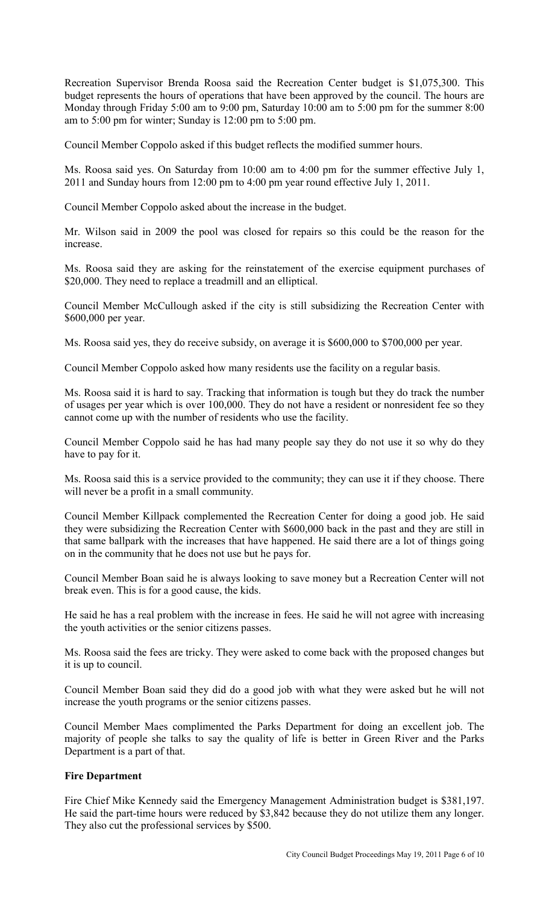Recreation Supervisor Brenda Roosa said the Recreation Center budget is \$1,075,300. This budget represents the hours of operations that have been approved by the council. The hours are Monday through Friday 5:00 am to 9:00 pm, Saturday 10:00 am to 5:00 pm for the summer 8:00 am to 5:00 pm for winter; Sunday is 12:00 pm to 5:00 pm.

Council Member Coppolo asked if this budget reflects the modified summer hours.

Ms. Roosa said yes. On Saturday from 10:00 am to 4:00 pm for the summer effective July 1, 2011 and Sunday hours from 12:00 pm to 4:00 pm year round effective July 1, 2011.

Council Member Coppolo asked about the increase in the budget.

Mr. Wilson said in 2009 the pool was closed for repairs so this could be the reason for the increase.

Ms. Roosa said they are asking for the reinstatement of the exercise equipment purchases of \$20,000. They need to replace a treadmill and an elliptical.

Council Member McCullough asked if the city is still subsidizing the Recreation Center with \$600,000 per year.

Ms. Roosa said yes, they do receive subsidy, on average it is \$600,000 to \$700,000 per year.

Council Member Coppolo asked how many residents use the facility on a regular basis.

Ms. Roosa said it is hard to say. Tracking that information is tough but they do track the number of usages per year which is over 100,000. They do not have a resident or nonresident fee so they cannot come up with the number of residents who use the facility.

Council Member Coppolo said he has had many people say they do not use it so why do they have to pay for it.

Ms. Roosa said this is a service provided to the community; they can use it if they choose. There will never be a profit in a small community.

Council Member Killpack complemented the Recreation Center for doing a good job. He said they were subsidizing the Recreation Center with \$600,000 back in the past and they are still in that same ballpark with the increases that have happened. He said there are a lot of things going on in the community that he does not use but he pays for.

Council Member Boan said he is always looking to save money but a Recreation Center will not break even. This is for a good cause, the kids.

He said he has a real problem with the increase in fees. He said he will not agree with increasing the youth activities or the senior citizens passes.

Ms. Roosa said the fees are tricky. They were asked to come back with the proposed changes but it is up to council.

Council Member Boan said they did do a good job with what they were asked but he will not increase the youth programs or the senior citizens passes.

Council Member Maes complimented the Parks Department for doing an excellent job. The majority of people she talks to say the quality of life is better in Green River and the Parks Department is a part of that.

## **Fire Department**

Fire Chief Mike Kennedy said the Emergency Management Administration budget is \$381,197. He said the part-time hours were reduced by \$3,842 because they do not utilize them any longer. They also cut the professional services by \$500.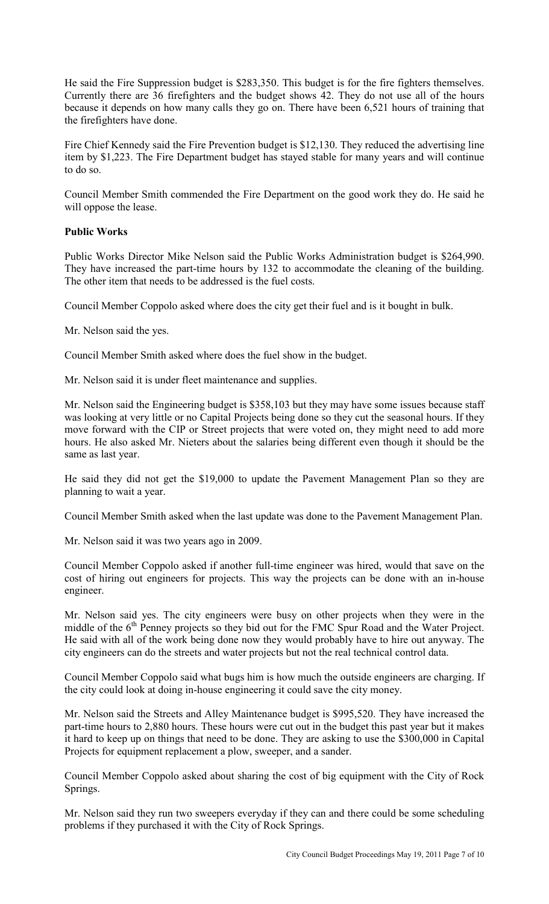He said the Fire Suppression budget is \$283,350. This budget is for the fire fighters themselves. Currently there are 36 firefighters and the budget shows 42. They do not use all of the hours because it depends on how many calls they go on. There have been 6,521 hours of training that the firefighters have done.

Fire Chief Kennedy said the Fire Prevention budget is \$12,130. They reduced the advertising line item by \$1,223. The Fire Department budget has stayed stable for many years and will continue to do so.

Council Member Smith commended the Fire Department on the good work they do. He said he will oppose the lease.

# **Public Works**

Public Works Director Mike Nelson said the Public Works Administration budget is \$264,990. They have increased the part-time hours by 132 to accommodate the cleaning of the building. The other item that needs to be addressed is the fuel costs.

Council Member Coppolo asked where does the city get their fuel and is it bought in bulk.

Mr. Nelson said the yes.

Council Member Smith asked where does the fuel show in the budget.

Mr. Nelson said it is under fleet maintenance and supplies.

Mr. Nelson said the Engineering budget is \$358,103 but they may have some issues because staff was looking at very little or no Capital Projects being done so they cut the seasonal hours. If they move forward with the CIP or Street projects that were voted on, they might need to add more hours. He also asked Mr. Nieters about the salaries being different even though it should be the same as last year.

He said they did not get the \$19,000 to update the Pavement Management Plan so they are planning to wait a year.

Council Member Smith asked when the last update was done to the Pavement Management Plan.

Mr. Nelson said it was two years ago in 2009.

Council Member Coppolo asked if another full-time engineer was hired, would that save on the cost of hiring out engineers for projects. This way the projects can be done with an in-house engineer.

Mr. Nelson said yes. The city engineers were busy on other projects when they were in the middle of the  $6<sup>th</sup>$  Penney projects so they bid out for the FMC Spur Road and the Water Project. He said with all of the work being done now they would probably have to hire out anyway. The city engineers can do the streets and water projects but not the real technical control data.

Council Member Coppolo said what bugs him is how much the outside engineers are charging. If the city could look at doing in-house engineering it could save the city money.

Mr. Nelson said the Streets and Alley Maintenance budget is \$995,520. They have increased the part-time hours to 2,880 hours. These hours were cut out in the budget this past year but it makes it hard to keep up on things that need to be done. They are asking to use the \$300,000 in Capital Projects for equipment replacement a plow, sweeper, and a sander.

Council Member Coppolo asked about sharing the cost of big equipment with the City of Rock Springs.

Mr. Nelson said they run two sweepers everyday if they can and there could be some scheduling problems if they purchased it with the City of Rock Springs.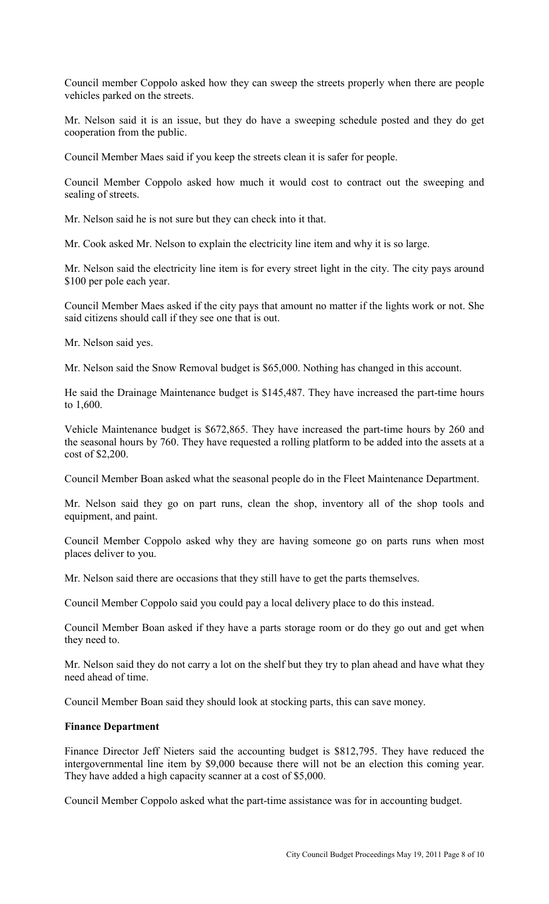Council member Coppolo asked how they can sweep the streets properly when there are people vehicles parked on the streets.

Mr. Nelson said it is an issue, but they do have a sweeping schedule posted and they do get cooperation from the public.

Council Member Maes said if you keep the streets clean it is safer for people.

Council Member Coppolo asked how much it would cost to contract out the sweeping and sealing of streets.

Mr. Nelson said he is not sure but they can check into it that.

Mr. Cook asked Mr. Nelson to explain the electricity line item and why it is so large.

Mr. Nelson said the electricity line item is for every street light in the city. The city pays around \$100 per pole each year.

Council Member Maes asked if the city pays that amount no matter if the lights work or not. She said citizens should call if they see one that is out.

Mr. Nelson said yes.

Mr. Nelson said the Snow Removal budget is \$65,000. Nothing has changed in this account.

He said the Drainage Maintenance budget is \$145,487. They have increased the part-time hours to 1,600.

Vehicle Maintenance budget is \$672,865. They have increased the part-time hours by 260 and the seasonal hours by 760. They have requested a rolling platform to be added into the assets at a cost of \$2,200.

Council Member Boan asked what the seasonal people do in the Fleet Maintenance Department.

Mr. Nelson said they go on part runs, clean the shop, inventory all of the shop tools and equipment, and paint.

Council Member Coppolo asked why they are having someone go on parts runs when most places deliver to you.

Mr. Nelson said there are occasions that they still have to get the parts themselves.

Council Member Coppolo said you could pay a local delivery place to do this instead.

Council Member Boan asked if they have a parts storage room or do they go out and get when they need to.

Mr. Nelson said they do not carry a lot on the shelf but they try to plan ahead and have what they need ahead of time.

Council Member Boan said they should look at stocking parts, this can save money.

## **Finance Department**

Finance Director Jeff Nieters said the accounting budget is \$812,795. They have reduced the intergovernmental line item by \$9,000 because there will not be an election this coming year. They have added a high capacity scanner at a cost of \$5,000.

Council Member Coppolo asked what the part-time assistance was for in accounting budget.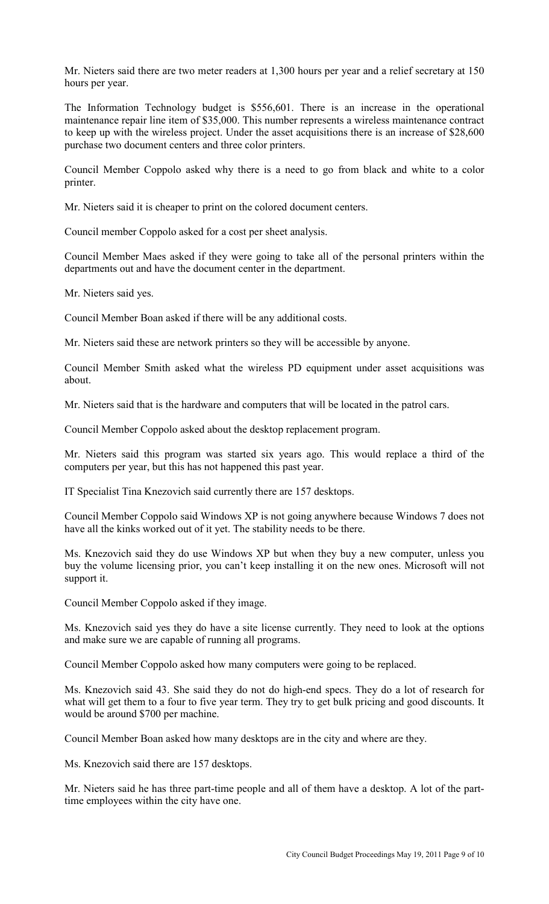Mr. Nieters said there are two meter readers at 1,300 hours per year and a relief secretary at 150 hours per year.

The Information Technology budget is \$556,601. There is an increase in the operational maintenance repair line item of \$35,000. This number represents a wireless maintenance contract to keep up with the wireless project. Under the asset acquisitions there is an increase of \$28,600 purchase two document centers and three color printers.

Council Member Coppolo asked why there is a need to go from black and white to a color printer.

Mr. Nieters said it is cheaper to print on the colored document centers.

Council member Coppolo asked for a cost per sheet analysis.

Council Member Maes asked if they were going to take all of the personal printers within the departments out and have the document center in the department.

Mr. Nieters said yes.

Council Member Boan asked if there will be any additional costs.

Mr. Nieters said these are network printers so they will be accessible by anyone.

Council Member Smith asked what the wireless PD equipment under asset acquisitions was about.

Mr. Nieters said that is the hardware and computers that will be located in the patrol cars.

Council Member Coppolo asked about the desktop replacement program.

Mr. Nieters said this program was started six years ago. This would replace a third of the computers per year, but this has not happened this past year.

IT Specialist Tina Knezovich said currently there are 157 desktops.

Council Member Coppolo said Windows XP is not going anywhere because Windows 7 does not have all the kinks worked out of it yet. The stability needs to be there.

Ms. Knezovich said they do use Windows XP but when they buy a new computer, unless you buy the volume licensing prior, you can't keep installing it on the new ones. Microsoft will not support it.

Council Member Coppolo asked if they image.

Ms. Knezovich said yes they do have a site license currently. They need to look at the options and make sure we are capable of running all programs.

Council Member Coppolo asked how many computers were going to be replaced.

Ms. Knezovich said 43. She said they do not do high-end specs. They do a lot of research for what will get them to a four to five year term. They try to get bulk pricing and good discounts. It would be around \$700 per machine.

Council Member Boan asked how many desktops are in the city and where are they.

Ms. Knezovich said there are 157 desktops.

Mr. Nieters said he has three part-time people and all of them have a desktop. A lot of the parttime employees within the city have one.